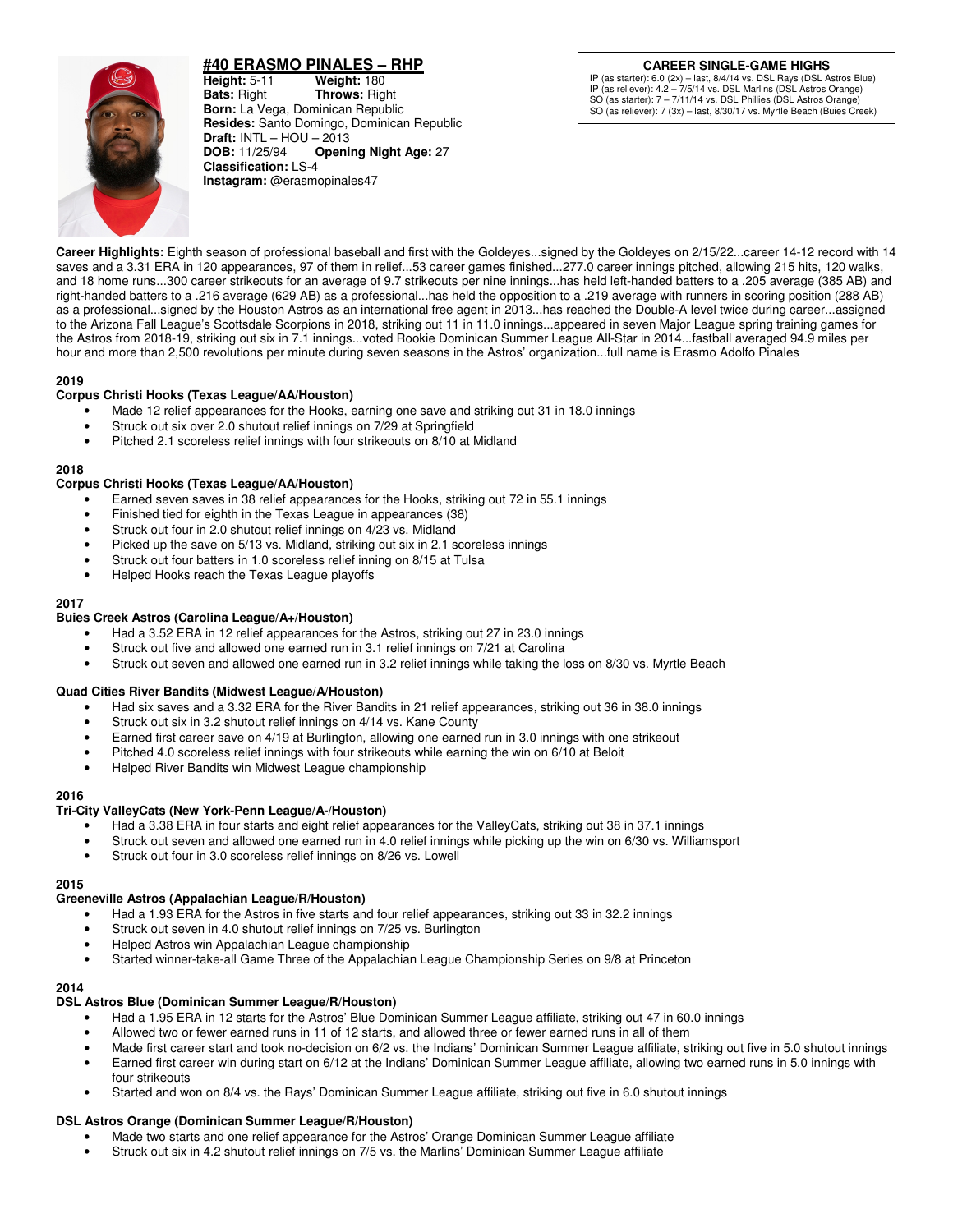

# **#40 ERASMO PINALES – RHP**

**Height:** 5-11 **Weight:** 180<br>**Bats:** Right **Throws:** Rig **Bats:** Right **Throws:** Right **Born:** La Vega, Dominican Republic **Resides:** Santo Domingo, Dominican Republic **Draft: INTL – HOU – 2013<br><b>DOB:** 11/25/94 **Openi Opening Night Age: 27 Classification:** LS-4 **Instagram:** @erasmopinales47

# **CAREER SINGLE-GAME HIGHS**

IP (as starter): 6.0 (2x) – last, 8/4/14 vs. DSL Rays (DSL Astros Blue) IP (as reliever): 4.2 – 7/5/14 vs. DSL Marlins (DSL Astros Orange) SO (as starter): 7 – 7/11/14 vs. DSL Phillies (DSL Astros Orange) SO (as reliever): 7 (3x) – last, 8/30/17 vs. Myrtle Beach (Buies Creek)

**Career Highlights:** Eighth season of professional baseball and first with the Goldeyes...signed by the Goldeyes on 2/15/22...career 14-12 record with 14 saves and a 3.31 ERA in 120 appearances, 97 of them in relief...53 career games finished...277.0 career innings pitched, allowing 215 hits, 120 walks, and 18 home runs...300 career strikeouts for an average of 9.7 strikeouts per nine innings...has held left-handed batters to a .205 average (385 AB) and right-handed batters to a .216 average (629 AB) as a professional...has held the opposition to a .219 average with runners in scoring position (288 AB) as a professional...signed by the Houston Astros as an international free agent in 2013...has reached the Double-A level twice during career...assigned to the Arizona Fall League's Scottsdale Scorpions in 2018, striking out 11 in 11.0 innings...appeared in seven Major League spring training games for the Astros from 2018-19, striking out six in 7.1 innings...voted Rookie Dominican Summer League All-Star in 2014...fastball averaged 94.9 miles per hour and more than 2,500 revolutions per minute during seven seasons in the Astros' organization...full name is Erasmo Adolfo Pinales

## **2019**

## **Corpus Christi Hooks (Texas League/AA/Houston)**

- Made 12 relief appearances for the Hooks, earning one save and striking out 31 in 18.0 innings
- Struck out six over 2.0 shutout relief innings on 7/29 at Springfield
- Pitched 2.1 scoreless relief innings with four strikeouts on 8/10 at Midland

#### **2018**

## **Corpus Christi Hooks (Texas League/AA/Houston)**

- Earned seven saves in 38 relief appearances for the Hooks, striking out 72 in 55.1 innings
- Finished tied for eighth in the Texas League in appearances (38)
- Struck out four in 2.0 shutout relief innings on 4/23 vs. Midland
- Picked up the save on 5/13 vs. Midland, striking out six in 2.1 scoreless innings
- Struck out four batters in 1.0 scoreless relief inning on 8/15 at Tulsa
- Helped Hooks reach the Texas League playoffs

#### **2017**

#### **Buies Creek Astros (Carolina League/A+/Houston)**

- Had a 3.52 ERA in 12 relief appearances for the Astros, striking out 27 in 23.0 innings
- Struck out five and allowed one earned run in 3.1 relief innings on 7/21 at Carolina
- Struck out seven and allowed one earned run in 3.2 relief innings while taking the loss on 8/30 vs. Myrtle Beach

#### **Quad Cities River Bandits (Midwest League/A/Houston)**

- Had six saves and a 3.32 ERA for the River Bandits in 21 relief appearances, striking out 36 in 38.0 innings
- Struck out six in 3.2 shutout relief innings on 4/14 vs. Kane County
- Earned first career save on 4/19 at Burlington, allowing one earned run in 3.0 innings with one strikeout
- Pitched 4.0 scoreless relief innings with four strikeouts while earning the win on 6/10 at Beloit
- Helped River Bandits win Midwest League championship

#### **2016**

#### **Tri-City ValleyCats (New York-Penn League/A-/Houston)**

- Had a 3.38 ERA in four starts and eight relief appearances for the ValleyCats, striking out 38 in 37.1 innings
- Struck out seven and allowed one earned run in 4.0 relief innings while picking up the win on 6/30 vs. Williamsport
- Struck out four in 3.0 scoreless relief innings on 8/26 vs. Lowell

#### **2015**

#### **Greeneville Astros (Appalachian League/R/Houston)**

- Had a 1.93 ERA for the Astros in five starts and four relief appearances, striking out 33 in 32.2 innings
- Struck out seven in 4.0 shutout relief innings on 7/25 vs. Burlington
- Helped Astros win Appalachian League championship
- Started winner-take-all Game Three of the Appalachian League Championship Series on 9/8 at Princeton

#### **2014**

#### **DSL Astros Blue (Dominican Summer League/R/Houston)**

- Had a 1.95 ERA in 12 starts for the Astros' Blue Dominican Summer League affiliate, striking out 47 in 60.0 innings
- Allowed two or fewer earned runs in 11 of 12 starts, and allowed three or fewer earned runs in all of them
- Made first career start and took no-decision on 6/2 vs. the Indians' Dominican Summer League affiliate, striking out five in 5.0 shutout innings
- Earned first career win during start on 6/12 at the Indians' Dominican Summer League affiliate, allowing two earned runs in 5.0 innings with four strikeouts
- Started and won on 8/4 vs. the Rays' Dominican Summer League affiliate, striking out five in 6.0 shutout innings

#### **DSL Astros Orange (Dominican Summer League/R/Houston)**

- Made two starts and one relief appearance for the Astros' Orange Dominican Summer League affiliate
- Struck out six in 4.2 shutout relief innings on 7/5 vs. the Marlins' Dominican Summer League affiliate